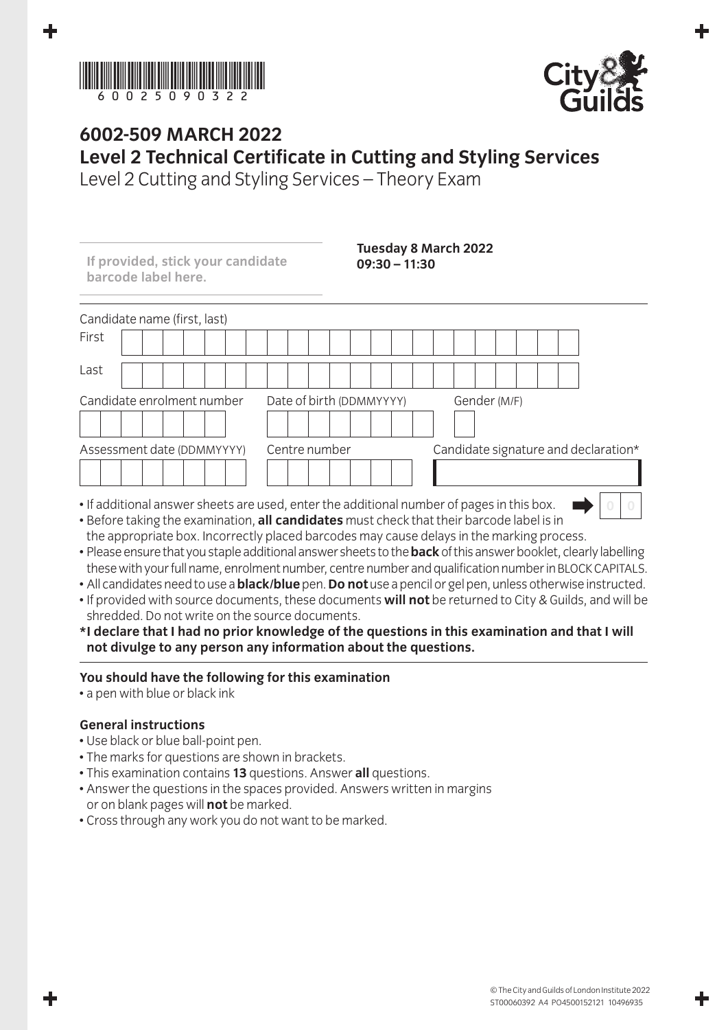



## **6002-509 March 2022 Level 2 Technical Certificate in Cutting and Styling Services**

Level 2 Cutting and Styling Services – Theory Exam

| If provided, stick your candidate<br>barcode label here. | $09:30 - 11:30$                                                                                                                                                                                              | <b>Tuesday 8 March 2022</b>          |
|----------------------------------------------------------|--------------------------------------------------------------------------------------------------------------------------------------------------------------------------------------------------------------|--------------------------------------|
| Candidate name (first, last)                             |                                                                                                                                                                                                              |                                      |
| First                                                    |                                                                                                                                                                                                              |                                      |
| Last                                                     |                                                                                                                                                                                                              |                                      |
| Candidate enrolment number                               | Date of birth (DDMMYYYY)                                                                                                                                                                                     | Gender (M/F)                         |
| Assessment date (DDMMYYYY)                               | Centre number                                                                                                                                                                                                | Candidate signature and declaration* |
|                                                          | • If additional answer sheets are used, enter the additional number of pages in this box.<br>the contract of the contract of the contract of the contract of the contract of the contract of the contract of |                                      |

- Before taking the examination, **all candidates** must check that their barcode label is in the appropriate box. Incorrectly placed barcodes may cause delays in the marking process.
- Please ensure that you staple additional answer sheets to the **back** of this answer booklet, clearly labelling these with your full name, enrolment number, centre number and qualification number in BLOCK CAPITALS.
- All candidates need to use a **black/blue** pen. **Do not** use a pencil or gel pen, unless otherwise instructed.
- If provided with source documents, these documents **will not** be returned to City & Guilds, and will be shredded. Do not write on the source documents.
- **\* I declare that I had no prior knowledge of the questions in this examination and that I will not divulge to any person any information about the questions.**

## **You should have the following for this examination**

• a pen with blue or black ink

## **General instructions**

- Use black or blue ball-point pen.
- The marks for questions are shown in brackets.
- This examination contains **13** questions. Answer **all** questions.
- Answer the questions in the spaces provided. Answers written in margins or on blank pages will **not** be marked.
- Cross through any work you do not want to be marked.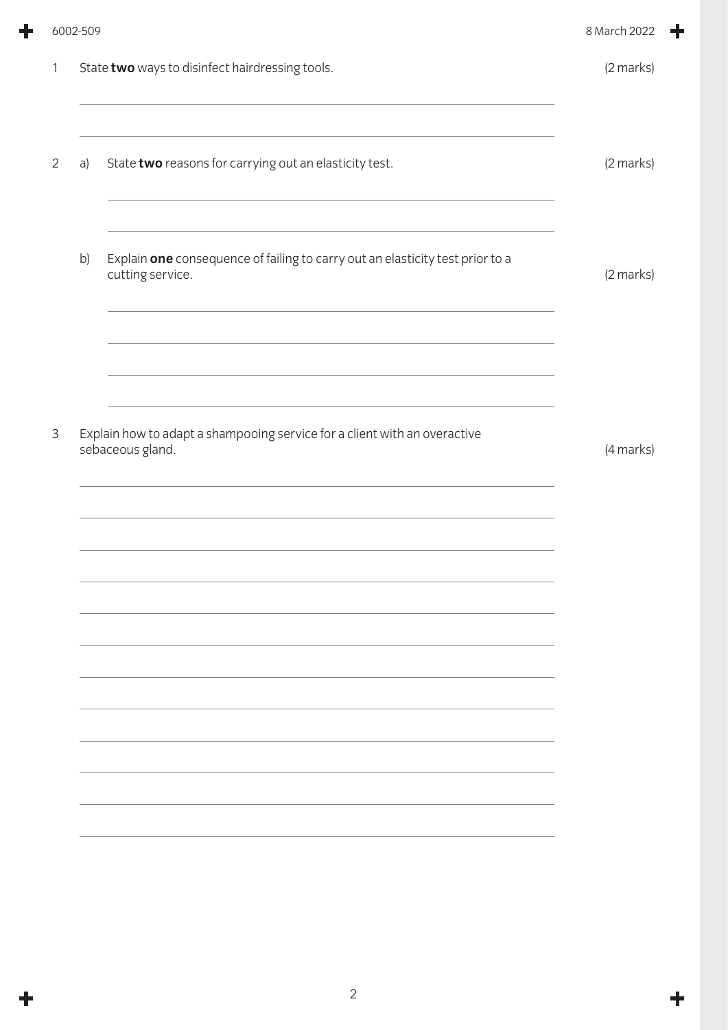|              | 6002-509 |                                                                                                   | 8 March 2022 |
|--------------|----------|---------------------------------------------------------------------------------------------------|--------------|
| $\mathbf{1}$ |          | State two ways to disinfect hairdressing tools.                                                   | (2 marks)    |
| 2            | a)       | State two reasons for carrying out an elasticity test.                                            | (2 marks)    |
|              | b)       | Explain one consequence of failing to carry out an elasticity test prior to a<br>cutting service. | (2 marks)    |
|              |          |                                                                                                   |              |
| 3            |          | Explain how to adapt a shampooing service for a client with an overactive<br>sebaceous gland.     | (4 marks)    |
|              |          |                                                                                                   |              |
|              |          |                                                                                                   |              |
|              |          |                                                                                                   |              |
|              |          |                                                                                                   |              |
|              |          |                                                                                                   |              |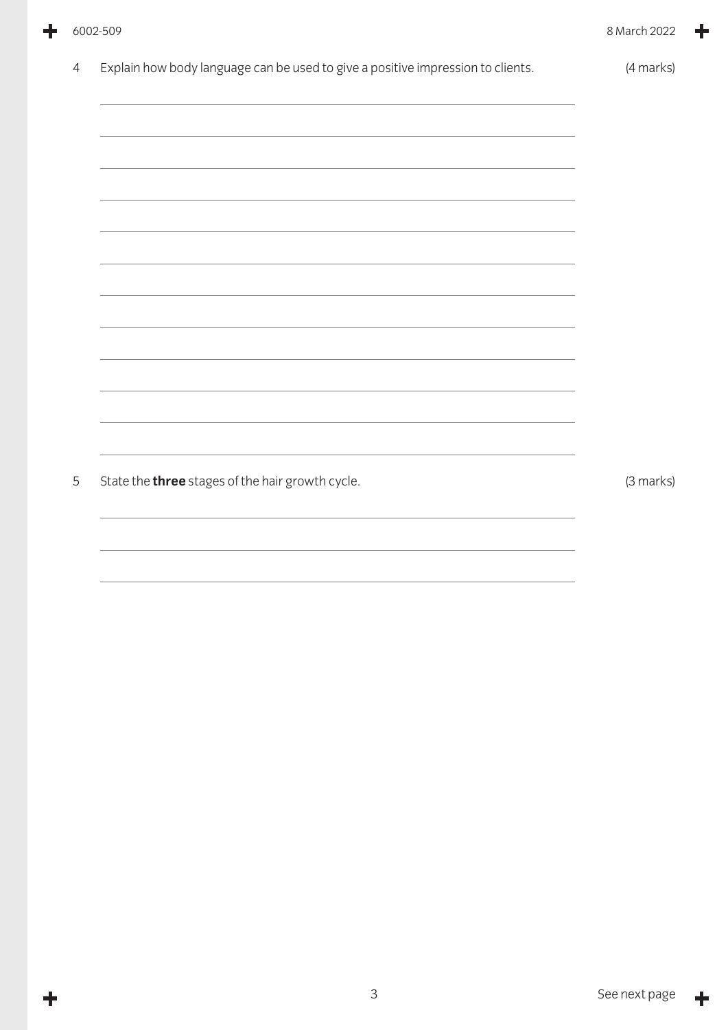|                | 6002-509                                                                                                              | 8 March 2022 |
|----------------|-----------------------------------------------------------------------------------------------------------------------|--------------|
| $\overline{4}$ | Explain how body language can be used to give a positive impression to clients.                                       | (4 marks)    |
|                |                                                                                                                       |              |
|                |                                                                                                                       |              |
|                |                                                                                                                       |              |
|                | <u> 1989 - Johann Stoff, deutscher Stoff, der Stoff, der Stoff, der Stoff, der Stoff, der Stoff, der Stoff, der S</u> |              |
|                |                                                                                                                       |              |
|                |                                                                                                                       |              |
|                |                                                                                                                       |              |
|                |                                                                                                                       |              |
|                |                                                                                                                       |              |
| 5              | State the three stages of the hair growth cycle.                                                                      | (3 marks)    |
|                |                                                                                                                       |              |
|                |                                                                                                                       |              |

╋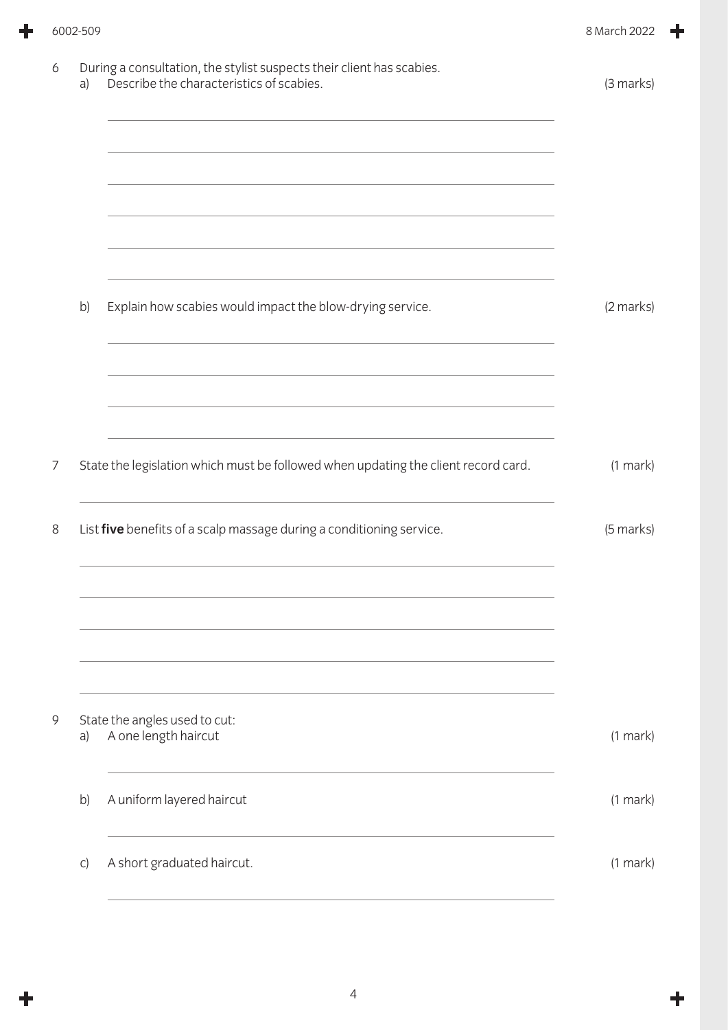| (3 marks)     |
|---------------|
|               |
|               |
|               |
| (2 marks)     |
|               |
| $(1$ mark $)$ |
| (5 marks)     |
|               |
| $(1$ mark $)$ |
| $(1$ mark $)$ |
| $(1$ mark $)$ |
|               |

╋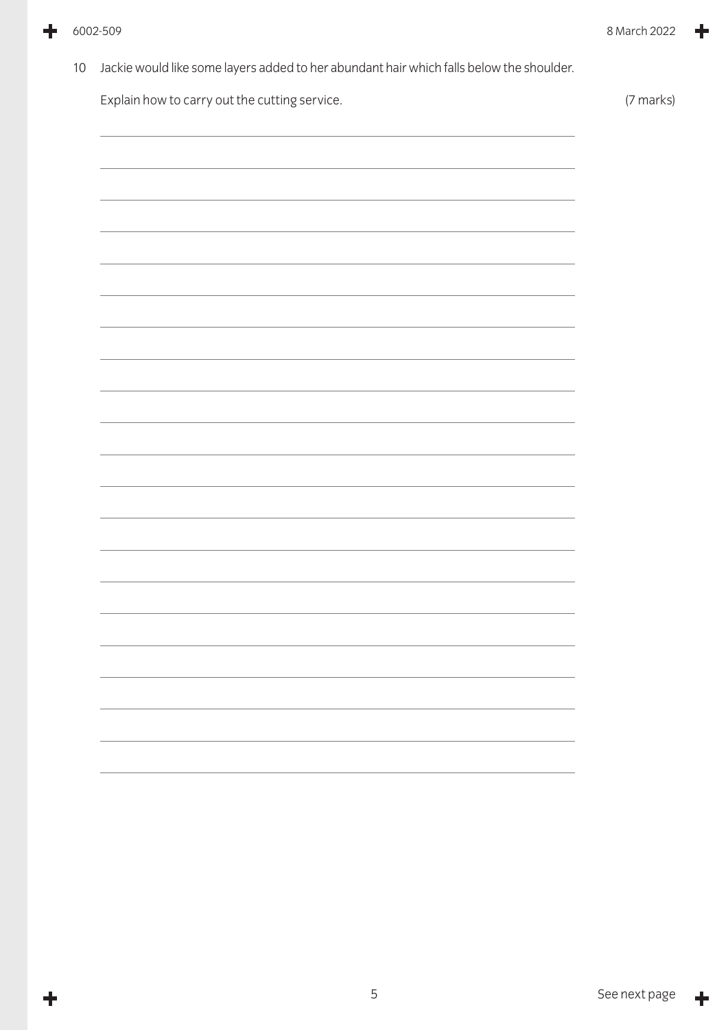╋

÷

10 Jackie would like some layers added to her abundant hair which falls below the shoulder.

Explain how to carry out the cutting service. The service of the service of the service of  $(7 \text{ marks})$ 

╋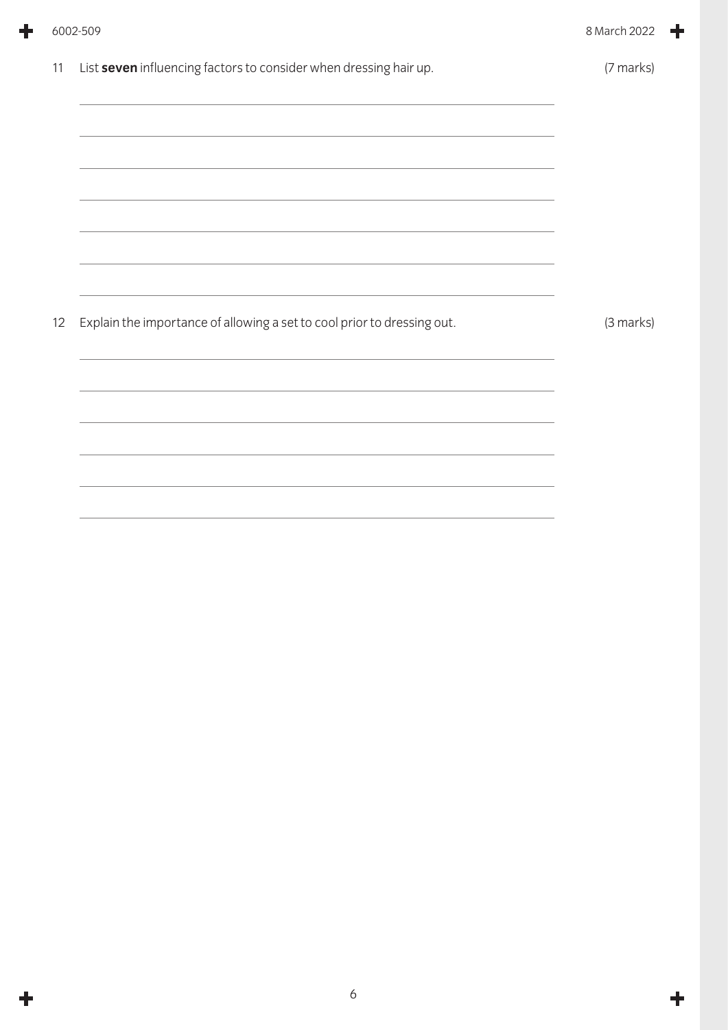|    | 6002-509                                                                                                                                                                                                                                                                                                 | 8 March 2022 |
|----|----------------------------------------------------------------------------------------------------------------------------------------------------------------------------------------------------------------------------------------------------------------------------------------------------------|--------------|
| 11 | List seven influencing factors to consider when dressing hair up.<br>,我们也不能在这里的时候,我们也不能在这里的时候,我们也不能会在这里的时候,我们也不能会在这里的时候,我们也不能会在这里的时候,我们也不能会在这里的时候,我们也<br>,我们也不能在这里的时候,我们也不能在这里的时候,我们也不能会在这里的时候,我们也不能会在这里的时候,我们也不能会在这里的时候,我们也不能会在这里的时候,我们也<br><u> 1989 - Johann Stoff, Amerikaansk politiker (* 1908)</u> | (7 marks)    |
| 12 | Explain the importance of allowing a set to cool prior to dressing out.                                                                                                                                                                                                                                  | (3 marks)    |

÷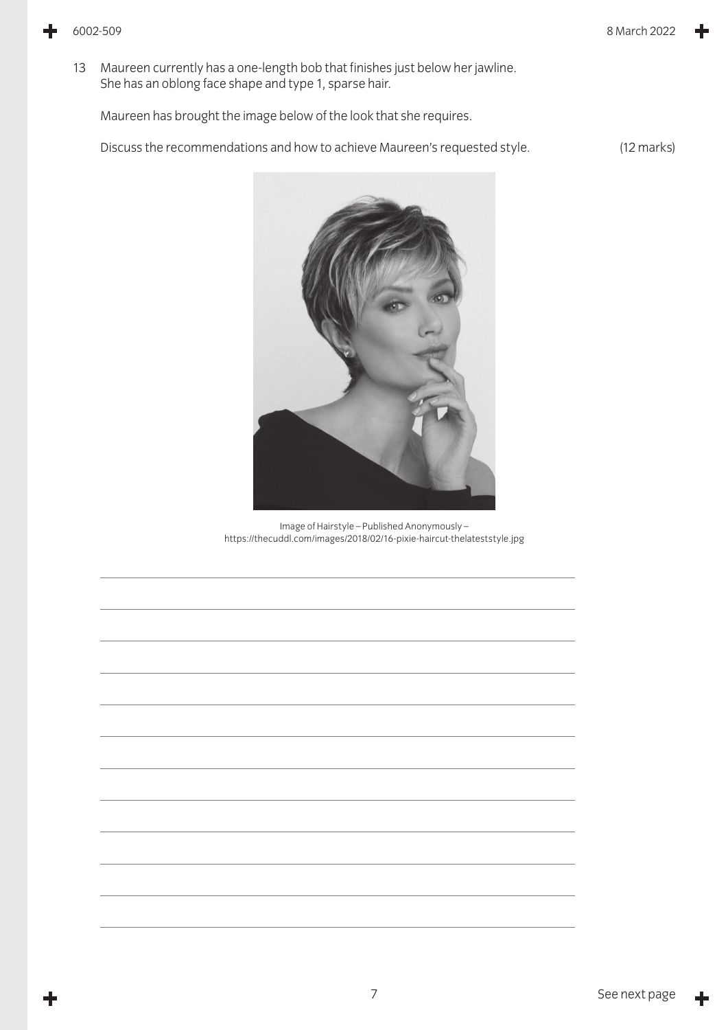13 Maureen currently has a one-length bob that finishes just below her jawline. She has an oblong face shape and type 1, sparse hair.

Maureen has brought the image below of the look that she requires.

Discuss the recommendations and how to achieve Maureen's requested style. (12 marks)



Image of Hairstyle – Published Anonymously – https://thecuddl.com/images/2018/02/16-pixie-haircut-thelateststyle.jpg